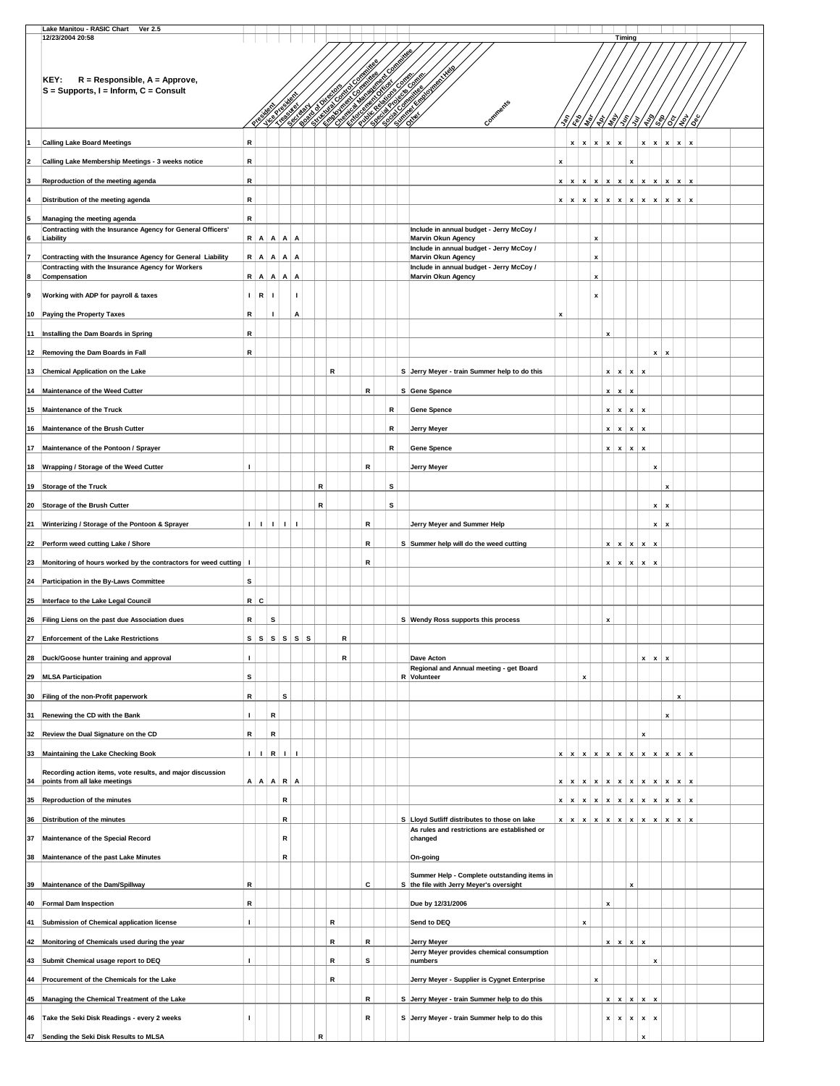|    | Lake Manitou - RASIC Chart<br><b>Ver 2.5</b>                                                                     |                |              |                |              |                                 |           |           |   |   |   |   |           |                                                                                                                                                                                                                                        |   |                           |              |                           |                    |                 |                    |                           |                           |                           |                                                 |  |
|----|------------------------------------------------------------------------------------------------------------------|----------------|--------------|----------------|--------------|---------------------------------|-----------|-----------|---|---|---|---|-----------|----------------------------------------------------------------------------------------------------------------------------------------------------------------------------------------------------------------------------------------|---|---------------------------|--------------|---------------------------|--------------------|-----------------|--------------------|---------------------------|---------------------------|---------------------------|-------------------------------------------------|--|
|    | 12/23/2004 20:58<br>KEY:<br>$R =$ Responsible, $A =$ Approve,<br>$S =$ Supports, $I =$ Inform, $C =$ Consult     |                |              |                |              |                                 |           |           |   |   |   |   | Committee | <u>en første starte starte starte starte starte starte starte starte starte starte starte starte starte starte s</u><br>Et starte starte starte starte starte starte starte starte starte starte starte starte starte starte starte st |   |                           |              |                           |                    | Timina          |                    |                           |                           |                           |                                                 |  |
|    |                                                                                                                  |                | Presi        |                |              |                                 |           |           |   |   |   |   |           | Comments                                                                                                                                                                                                                               |   | {\$/@                     |              |                           |                    |                 |                    |                           |                           |                           | \\$\\$\\$\\$\{\}\#\\$\\$\\$\\$\\$               |  |
|    |                                                                                                                  | R              |              |                |              |                                 |           |           |   |   |   |   |           |                                                                                                                                                                                                                                        |   |                           | $\mathbf{x}$ |                           |                    |                 |                    | $x \mid x$                |                           | $\pmb{\mathsf{x}}$        | $\pmb{\mathsf{x}}$<br>x                         |  |
|    | <b>Calling Lake Board Meetings</b>                                                                               | R              |              |                |              |                                 |           |           |   |   |   |   |           |                                                                                                                                                                                                                                        |   | x                         |              | $\pmb{\mathsf{x}}$        | $\pmb{\mathsf{x}}$ | x               |                    |                           |                           |                           |                                                 |  |
|    | Calling Lake Membership Meetings - 3 weeks notice                                                                |                |              |                |              |                                 |           |           |   |   |   |   |           |                                                                                                                                                                                                                                        | x |                           |              |                           |                    |                 | X                  |                           |                           |                           |                                                 |  |
|    | Reproduction of the meeting agenda                                                                               | R              |              |                |              |                                 |           |           |   |   |   |   |           |                                                                                                                                                                                                                                        | x | X                         | x            | $\pmb{\mathsf{x}}$        | x                  | $\mathbf{x}$    | x                  | x                         | $\mathbf{x}$              | $\pmb{\mathsf{x}}$        | $\mathbf{x}$<br>x                               |  |
|    | Distribution of the meeting agenda                                                                               | R              |              |                |              |                                 |           |           |   |   |   |   |           |                                                                                                                                                                                                                                        | x | x                         | $\mathbf{x}$ | $\boldsymbol{\mathsf{x}}$ | $\pmb{\mathsf{x}}$ | x               | x                  | $\mathbf{x}$              | $\boldsymbol{\mathsf{x}}$ | $\pmb{\mathsf{x}}$        | $\boldsymbol{\mathsf{x}}$<br>$\pmb{\mathsf{x}}$ |  |
|    | Managing the meeting agenda<br>Contracting with the Insurance Agency for General Officers'                       | R              |              |                |              |                                 |           |           |   |   |   |   |           | Include in annual budget - Jerry McCoy /                                                                                                                                                                                               |   |                           |              |                           |                    |                 |                    |                           |                           |                           |                                                 |  |
|    | Liability                                                                                                        |                | R A          | $\mathsf{A}$   | Α            | A                               |           |           |   |   |   |   |           | <b>Marvin Okun Agency</b><br>Include in annual budget - Jerry McCoy /                                                                                                                                                                  |   |                           |              | x                         |                    |                 |                    |                           |                           |                           |                                                 |  |
|    | Contracting with the Insurance Agency for General Liability<br>Contracting with the Insurance Agency for Workers |                | $R$   A      | $\mathbf{A}$   | $\mathsf{A}$ | Α                               |           |           |   |   |   |   |           | Marvin Okun Agency<br>Include in annual budget - Jerry McCoy /                                                                                                                                                                         |   |                           |              | x                         |                    |                 |                    |                           |                           |                           |                                                 |  |
|    | Compensation                                                                                                     |                | R A          | $\mathbf{A}$   | A            | A                               |           |           |   |   |   |   |           | Marvin Okun Agency                                                                                                                                                                                                                     |   |                           |              | x                         |                    |                 |                    |                           |                           |                           |                                                 |  |
| 9  | Working with ADP for payroll & taxes                                                                             |                | $I \, R$     | $\blacksquare$ |              | $\mathbf{I}$                    |           |           |   |   |   |   |           |                                                                                                                                                                                                                                        |   |                           |              | x                         |                    |                 |                    |                           |                           |                           |                                                 |  |
| 10 | Paying the Property Taxes                                                                                        | R              |              | Ι.             |              | Α                               |           |           |   |   |   |   |           |                                                                                                                                                                                                                                        | x |                           |              |                           |                    |                 |                    |                           |                           |                           |                                                 |  |
| 11 | Installing the Dam Boards in Spring                                                                              | R              |              |                |              |                                 |           |           |   |   |   |   |           |                                                                                                                                                                                                                                        |   |                           |              |                           | x                  |                 |                    |                           |                           |                           |                                                 |  |
|    | 12 Removing the Dam Boards in Fall                                                                               | R              |              |                |              |                                 |           |           |   |   |   |   |           |                                                                                                                                                                                                                                        |   |                           |              |                           |                    |                 |                    |                           | $\boldsymbol{\mathsf{x}}$ | $\mathbf{x}$              |                                                 |  |
|    | 13 Chemical Application on the Lake                                                                              |                |              |                |              |                                 |           | R         |   |   |   |   |           | S Jerry Meyer - train Summer help to do this                                                                                                                                                                                           |   |                           |              |                           | x                  | x               | x                  | x                         |                           |                           |                                                 |  |
| 14 | Maintenance of the Weed Cutter                                                                                   |                |              |                |              |                                 |           |           |   | R |   |   |           | S Gene Spence                                                                                                                                                                                                                          |   |                           |              |                           | x                  | x               | x                  |                           |                           |                           |                                                 |  |
| 15 | <b>Maintenance of the Truck</b>                                                                                  |                |              |                |              |                                 |           |           |   |   |   | R |           | <b>Gene Spence</b>                                                                                                                                                                                                                     |   |                           |              |                           | x                  | $\mathbf{x}$    | x                  | $\boldsymbol{\mathsf{x}}$ |                           |                           |                                                 |  |
|    | 16 Maintenance of the Brush Cutter                                                                               |                |              |                |              |                                 |           |           |   |   |   | R |           | Jerry Meyer                                                                                                                                                                                                                            |   |                           |              |                           | x                  | x               | x                  | $\boldsymbol{\mathsf{x}}$ |                           |                           |                                                 |  |
| 17 | Maintenance of the Pontoon / Sprayer                                                                             |                |              |                |              |                                 |           |           |   |   |   | R |           | <b>Gene Spence</b>                                                                                                                                                                                                                     |   |                           |              |                           | x                  | x               | x                  | x                         |                           |                           |                                                 |  |
|    | 18 Wrapping / Storage of the Weed Cutter                                                                         | п              |              |                |              |                                 |           |           |   | R |   |   |           | Jerry Meyer                                                                                                                                                                                                                            |   |                           |              |                           |                    |                 |                    |                           | x                         |                           |                                                 |  |
|    | 19 Storage of the Truck                                                                                          |                |              |                |              |                                 | R         |           |   |   | s |   |           |                                                                                                                                                                                                                                        |   |                           |              |                           |                    |                 |                    |                           |                           | x                         |                                                 |  |
| 20 | Storage of the Brush Cutter                                                                                      |                |              |                |              |                                 | ${\sf R}$ |           |   |   |   | s |           |                                                                                                                                                                                                                                        |   |                           |              |                           |                    |                 |                    |                           | x                         | x                         |                                                 |  |
| 21 | Winterizing / Storage of the Pontoon & Sprayer                                                                   | $\blacksquare$ | $\mathbf{I}$ | $\blacksquare$ | $\mathbf{L}$ |                                 |           |           |   | R |   |   |           | Jerry Meyer and Summer Help                                                                                                                                                                                                            |   |                           |              |                           |                    |                 |                    |                           | x                         | $\boldsymbol{\mathsf{x}}$ |                                                 |  |
| 22 | Perform weed cutting Lake / Shore                                                                                |                |              |                |              |                                 |           |           |   | R |   |   |           | S Summer help will do the weed cutting                                                                                                                                                                                                 |   |                           |              |                           | x                  | x               | x                  | $\mathbf{x}$              | $\boldsymbol{x}$          |                           |                                                 |  |
| 23 | Monitoring of hours worked by the contractors for weed cutting                                                   | $\mathbf{I}$   |              |                |              |                                 |           |           |   | R |   |   |           |                                                                                                                                                                                                                                        |   |                           |              |                           | $\boldsymbol{x}$   | $\mathbf{x}$    | x                  | x                         | x                         |                           |                                                 |  |
|    | 24 Participation in the By-Laws Committee                                                                        | s              |              |                |              |                                 |           |           |   |   |   |   |           |                                                                                                                                                                                                                                        |   |                           |              |                           |                    |                 |                    |                           |                           |                           |                                                 |  |
| 25 | Interface to the Lake Legal Council                                                                              |                | $R$ $C$      |                |              |                                 |           |           |   |   |   |   |           |                                                                                                                                                                                                                                        |   |                           |              |                           |                    |                 |                    |                           |                           |                           |                                                 |  |
| 26 | Filing Liens on the past due Association dues                                                                    | R              |              | s              |              |                                 |           |           |   |   |   |   |           | S Wendy Ross supports this process                                                                                                                                                                                                     |   |                           |              |                           | $\pmb{\mathsf{x}}$ |                 |                    |                           |                           |                           |                                                 |  |
| 27 | <b>Enforcement of the Lake Restrictions</b>                                                                      |                |              |                |              | $S \mid S \mid S \mid S \mid S$ |           |           | R |   |   |   |           |                                                                                                                                                                                                                                        |   |                           |              |                           |                    |                 |                    |                           |                           |                           |                                                 |  |
|    | 28 Duck/Goose hunter training and approval                                                                       | $\mathbf{I}$   |              |                |              |                                 |           |           | R |   |   |   |           | Dave Acton                                                                                                                                                                                                                             |   |                           |              |                           |                    |                 |                    | $\mathbf{x}$              | $\pmb{\mathsf{x}}$        | x                         |                                                 |  |
| 29 | <b>MLSA Participation</b>                                                                                        | s              |              |                |              |                                 |           |           |   |   |   |   |           | Regional and Annual meeting - get Board<br>R Volunteer                                                                                                                                                                                 |   |                           | x            |                           |                    |                 |                    |                           |                           |                           |                                                 |  |
|    | 30 Filing of the non-Profit paperwork                                                                            | R              |              |                | s            |                                 |           |           |   |   |   |   |           |                                                                                                                                                                                                                                        |   |                           |              |                           |                    |                 |                    |                           |                           |                           | $\mathbf{x}$                                    |  |
| 31 | Renewing the CD with the Bank                                                                                    | $\mathbf{I}$   |              | R              |              |                                 |           |           |   |   |   |   |           |                                                                                                                                                                                                                                        |   |                           |              |                           |                    |                 |                    |                           |                           | $\boldsymbol{\mathsf{x}}$ |                                                 |  |
|    | 32 Review the Dual Signature on the CD                                                                           | R              |              | R              |              |                                 |           |           |   |   |   |   |           |                                                                                                                                                                                                                                        |   |                           |              |                           |                    |                 |                    | x                         |                           |                           |                                                 |  |
| 33 | Maintaining the Lake Checking Book                                                                               | $\Box$         | $\mathbf{I}$ | R              | $\mathbf{I}$ | $\blacksquare$                  |           |           |   |   |   |   |           |                                                                                                                                                                                                                                        |   | $x \mid x$                |              | x   x   x                 |                    | $\vert x \vert$ | $\pmb{\mathsf{x}}$ | $x \mid x$                |                           | $\boldsymbol{\mathsf{x}}$ | $\pmb{\mathsf{x}}$<br>x                         |  |
|    | Recording action items, vote results, and major discussion                                                       |                |              |                |              |                                 |           |           |   |   |   |   |           |                                                                                                                                                                                                                                        |   |                           |              |                           |                    |                 |                    |                           |                           |                           |                                                 |  |
| 34 | points from all lake meetings                                                                                    |                | A A          |                | $A \mid R$   | A                               |           |           |   |   |   |   |           |                                                                                                                                                                                                                                        | x | $\boldsymbol{\mathsf{x}}$ | $x \mid x$   |                           | x                  | $\mathbf{x}$    | $\mathbf{x}$       | $x \mid x$                |                           | $\pmb{\mathsf{x}}$        | $\mathbf{x}$<br>x                               |  |
| 35 | Reproduction of the minutes                                                                                      |                |              |                | R            |                                 |           |           |   |   |   |   |           |                                                                                                                                                                                                                                        |   | $x \mid x$                | x            | $\boldsymbol{\mathsf{x}}$ | x                  | $\mathbf{x}$    | x                  | x                         | $\boldsymbol{\mathsf{x}}$ | $\pmb{\mathsf{x}}$        | $x \mid$<br>$\pmb{\mathsf{x}}$                  |  |
| 36 | Distribution of the minutes                                                                                      |                |              |                | R            |                                 |           |           |   |   |   |   |           | S Lloyd Sutliff distributes to those on lake<br>As rules and restrictions are established or                                                                                                                                           |   | $x \mid x$                | $x \mid x$   |                           | x                  | $\mathbf{x}$    | x                  | $\mathbf{x}$              | $\mathbf{x}$              | $\boldsymbol{x}$          | $\pmb{\mathsf{x}}$<br>x                         |  |
| 37 | Maintenance of the Special Record                                                                                |                |              |                | R            |                                 |           |           |   |   |   |   |           | changed                                                                                                                                                                                                                                |   |                           |              |                           |                    |                 |                    |                           |                           |                           |                                                 |  |
| 38 | Maintenance of the past Lake Minutes                                                                             |                |              |                | R            |                                 |           |           |   |   |   |   |           | On-going                                                                                                                                                                                                                               |   |                           |              |                           |                    |                 |                    |                           |                           |                           |                                                 |  |
| 39 | Maintenance of the Dam/Spillway                                                                                  | R              |              |                |              |                                 |           |           |   | с |   |   |           | Summer Help - Complete outstanding items in<br>S the file with Jerry Meyer's oversight                                                                                                                                                 |   |                           |              |                           |                    |                 | x                  |                           |                           |                           |                                                 |  |
|    | 40 Formal Dam Inspection                                                                                         | R              |              |                |              |                                 |           |           |   |   |   |   |           | Due by 12/31/2006                                                                                                                                                                                                                      |   |                           |              |                           | x                  |                 |                    |                           |                           |                           |                                                 |  |
|    | 41 Submission of Chemical application license                                                                    | $\mathbf{I}$   |              |                |              |                                 |           | ${\sf R}$ |   |   |   |   |           | Send to DEQ                                                                                                                                                                                                                            |   |                           | x            |                           |                    |                 |                    |                           |                           |                           |                                                 |  |
| 42 | Monitoring of Chemicals used during the year                                                                     |                |              |                |              |                                 |           | ${\sf R}$ |   | R |   |   |           | <b>Jerry Meyer</b>                                                                                                                                                                                                                     |   |                           |              |                           | x                  | $\mathbf{x}$    | $\pmb{\mathsf{x}}$ | $\pmb{\mathsf{x}}$        |                           |                           |                                                 |  |
| 43 | Submit Chemical usage report to DEQ                                                                              | $\mathbf{I}$   |              |                |              |                                 |           | ${\sf R}$ |   | s |   |   |           | Jerry Meyer provides chemical consumption<br>numbers                                                                                                                                                                                   |   |                           |              |                           |                    |                 |                    |                           | x                         |                           |                                                 |  |
| 44 | Procurement of the Chemicals for the Lake                                                                        |                |              |                |              |                                 |           | R         |   |   |   |   |           | Jerry Meyer - Supplier is Cygnet Enterprise                                                                                                                                                                                            |   |                           |              | x                         |                    |                 |                    |                           |                           |                           |                                                 |  |
|    |                                                                                                                  |                |              |                |              |                                 |           |           |   | R |   |   |           |                                                                                                                                                                                                                                        |   |                           |              |                           |                    |                 |                    |                           |                           |                           |                                                 |  |
| 45 | Managing the Chemical Treatment of the Lake                                                                      |                |              |                |              |                                 |           |           |   |   |   |   |           | S Jerry Meyer - train Summer help to do this                                                                                                                                                                                           |   |                           |              |                           | x                  | $x \mid x$      |                    | $x \mid x$                |                           |                           |                                                 |  |
|    | 46 Take the Seki Disk Readings - every 2 weeks                                                                   |                |              |                |              |                                 |           |           |   | R |   |   |           | S Jerry Meyer - train Summer help to do this                                                                                                                                                                                           |   |                           |              |                           | x                  | $\mathbf{x}$    | x                  | x                         | $\pmb{\mathsf{x}}$        |                           |                                                 |  |
|    | 47 Sending the Seki Disk Results to MLSA                                                                         |                |              |                |              |                                 | R         |           |   |   |   |   |           |                                                                                                                                                                                                                                        |   |                           |              |                           |                    |                 |                    |                           |                           |                           |                                                 |  |